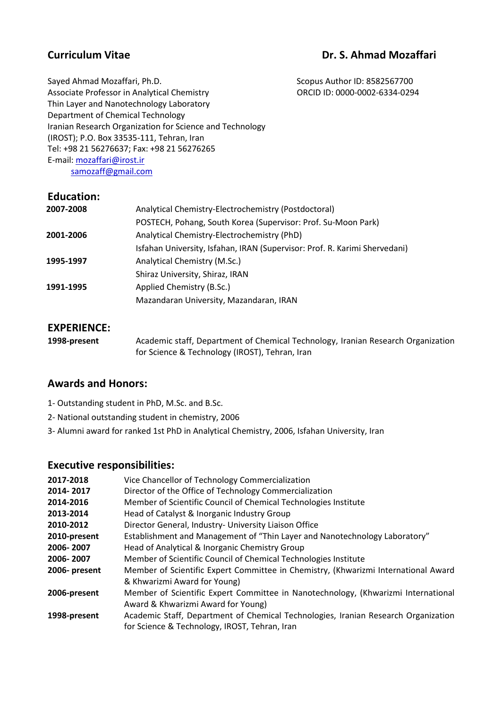# **Curriculum Vitae Curriculum Vitae Curriculum Vitae Curriculum According Curriculum Vitae Curriculum According Curriculum According Curriculum According Curriculum According Curriculum According Curriculum According Curric**

Scopus Author ID: 8582567700 ORCID ID: 0000-0002-6334-0294

Sayed Ahmad Mozaffari, Ph.D. Associate Professor in Analytical Chemistry Thin Layer and Nanotechnology Laboratory Department of Chemical Technology Iranian Research Organization for Science and Technology (IROST); P.O. Box 33535-111, Tehran, Iran Tel: +98 21 56276637; Fax: +98 21 56276265 E-mail: [mozaffari@irost.ir](mailto:mozaffari@irost.ir) [samozaff@gmail.com](mailto:samozaff@gmail.com)

**Education:**

| Luulativii. |                                                                            |
|-------------|----------------------------------------------------------------------------|
| 2007-2008   | Analytical Chemistry-Electrochemistry (Postdoctoral)                       |
|             | POSTECH, Pohang, South Korea (Supervisor: Prof. Su-Moon Park)              |
| 2001-2006   | Analytical Chemistry-Electrochemistry (PhD)                                |
|             | Isfahan University, Isfahan, IRAN (Supervisor: Prof. R. Karimi Shervedani) |
| 1995-1997   | Analytical Chemistry (M.Sc.)                                               |
|             | Shiraz University, Shiraz, IRAN                                            |
| 1991-1995   | Applied Chemistry (B.Sc.)                                                  |
|             | Mazandaran University, Mazandaran, IRAN                                    |
|             |                                                                            |

# **EXPERIENCE:**

| 1998-present | Academic staff, Department of Chemical Technology, Iranian Research Organization |
|--------------|----------------------------------------------------------------------------------|
|              | for Science & Technology (IROST), Tehran, Iran                                   |

# **Awards and Honors:**

- 1- Outstanding student in PhD, M.Sc. and B.Sc.
- 2- National outstanding student in chemistry, 2006
- 3- Alumni award for ranked 1st PhD in Analytical Chemistry, 2006, Isfahan University, Iran

## **Executive responsibilities:**

| 2017-2018     | Vice Chancellor of Technology Commercialization                                    |
|---------------|------------------------------------------------------------------------------------|
| 2014-2017     | Director of the Office of Technology Commercialization                             |
| 2014-2016     | Member of Scientific Council of Chemical Technologies Institute                    |
| 2013-2014     | Head of Catalyst & Inorganic Industry Group                                        |
| 2010-2012     | Director General, Industry- University Liaison Office                              |
| 2010-present  | Establishment and Management of "Thin Layer and Nanotechnology Laboratory"         |
| 2006-2007     | Head of Analytical & Inorganic Chemistry Group                                     |
| 2006-2007     | Member of Scientific Council of Chemical Technologies Institute                    |
| 2006- present | Member of Scientific Expert Committee in Chemistry, (Khwarizmi International Award |
|               | & Khwarizmi Award for Young)                                                       |
| 2006-present  | Member of Scientific Expert Committee in Nanotechnology, (Khwarizmi International  |
|               | Award & Khwarizmi Award for Young)                                                 |
| 1998-present  | Academic Staff, Department of Chemical Technologies, Iranian Research Organization |
|               | for Science & Technology, IROST, Tehran, Iran                                      |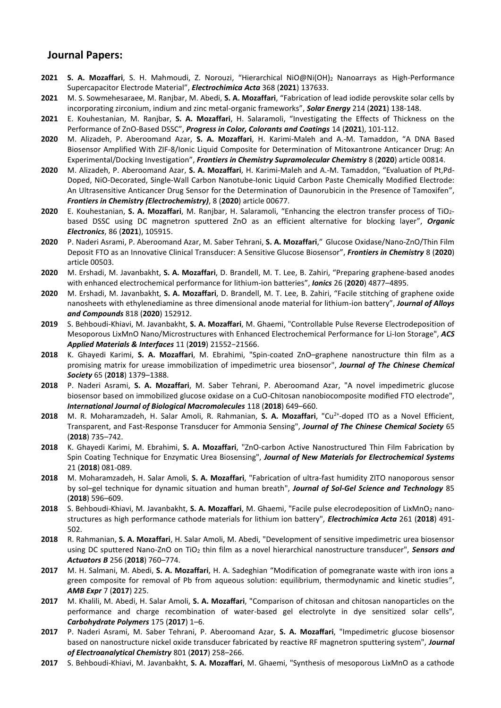## **Journal Papers:**

- **2021 S. A. Mozaffari**, S. H. Mahmoudi, Z. Norouzi, "Hierarchical NiO@Ni(OH)<sup>2</sup> Nanoarrays as High-Performance Supercapacitor Electrode Material", *Electrochimica Acta* 368 (**2021**) 137633.
- **2021** M. S. Sowmehesaraee, M. Ranjbar, M. Abedi, **S. A. Mozaffari**, "Fabrication of lead iodide perovskite solar cells by incorporating zirconium, indium and zinc metal-organic frameworks", *Solar Energy* 214 (**2021**) 138-148.
- **2021** E. Kouhestanian, M. Ranjbar, **S. A. Mozaffari**, H. Salaramoli, "Investigating the Effects of Thickness on the Performance of ZnO-Based DSSC", *Progress in Color, Colorants and Coatings* 14 (**2021**), 101-112.
- **2020** M. Alizadeh, P. Aberoomand Azar, **S. A. Mozaffari**, H. Karimi-Maleh and A.-M. Tamaddon, "A DNA Based Biosensor Amplified With ZIF-8/Ionic Liquid Composite for Determination of Mitoxantrone Anticancer Drug: An Experimental/Docking Investigation", *Frontiers in Chemistry Supramolecular Chemistry* 8 (**2020**) article 00814.
- **2020** M. Alizadeh, P. Aberoomand Azar, **S. A. Mozaffari**, H. Karimi-Maleh and A.-M. Tamaddon, "Evaluation of Pt,Pd-Doped, NiO-Decorated, Single-Wall Carbon Nanotube-Ionic Liquid Carbon Paste Chemically Modified Electrode: An Ultrasensitive Anticancer Drug Sensor for the Determination of Daunorubicin in the Presence of Tamoxifen", *Frontiers in Chemistry (Electrochemistry)*, 8 (**2020**) article 00677.
- **2020** E. Kouhestanian, **S. A. Mozaffari**, M. Ranjbar, H. Salaramoli, "Enhancing the electron transfer process of TiO2 based DSSC using DC magnetron sputtered ZnO as an efficient alternative for blocking layer", *Organic Electronics*, 86 (**2021**), 105915.
- **2020** P. Naderi Asrami, P . Aberoomand Azar, M. Saber Tehrani, **S. A. Mozaffari**," Glucose Oxidase/Nano-ZnO/Thin Film Deposit FTO as an Innovative Clinical Transducer: A Sensitive Glucose Biosensor", *Frontiers in Chemistry* 8 (**2020**) article 00503.
- **2020** M. Ershadi, M. Javanbakht, **S. A. Mozaffari**, D. Brandell, M. T. Lee, B. Zahiri, "Preparing graphene-based anodes with enhanced electrochemical performance for lithium-ion batteries", *Ionics* 26 (**2020**) 4877–4895.
- **2020** M. Ershadi, M. Javanbakht, **S. A. Mozaffari**, D. Brandell, M. T. Lee, B. Zahiri, "Facile stitching of graphene oxide nanosheets with ethylenediamine as three dimensional anode material for lithium-ion battery", *Journal of Alloys and Compounds* 818 (**2020**) 152912.
- **2019** S. Behboudi-Khiavi, M. Javanbakht, **S. A. Mozaffari**, M. Ghaemi, "Controllable Pulse Reverse Electrodeposition of Mesoporous LixMnO Nano/Microstructures with Enhanced Electrochemical Performance for Li-Ion Storage", *ACS Applied Materials & Interfaces* 11 (**2019**) 21552−21566.
- **2018** K. Ghayedi Karimi, **S. A. Mozaffari**, M. Ebrahimi, "Spin-coated ZnO–graphene nanostructure thin film as a promising matrix for urease immobilization of impedimetric urea biosensor", *Journal of The Chinese Chemical Society* 65 (**2018**) 1379–1388.
- **2018** P. Naderi Asrami, **S. A. Mozaffari**, M. Saber Tehrani, P. Aberoomand Azar, "A novel impedimetric glucose biosensor based on immobilized glucose oxidase on a CuO-Chitosan nanobiocomposite modified FTO electrode", *International Journal of Biological Macromolecules* 118 (**2018**) 649–660.
- 2018 M. R. Moharamzadeh, H. Salar Amoli, R. Rahmanian, S. A. Mozaffari, "Cu<sup>2+</sup>-doped ITO as a Novel Efficient, Transparent, and Fast-Response Transducer for Ammonia Sensing", *Journal of The Chinese Chemical Society* 65 (**2018**) 735–742.
- **2018** K. Ghayedi Karimi, M. Ebrahimi, **S. A. Mozaffari**, "ZnO-carbon Active Nanostructured Thin Film Fabrication by Spin Coating Technique for Enzymatic Urea Biosensing", *Journal of New Materials for Electrochemical Systems* 21 (**2018**) 081-089.
- **2018** M. Moharamzadeh, H. Salar Amoli, **S. A. Mozaffari**, "Fabrication of ultra-fast humidity ZITO nanoporous sensor by sol–gel technique for dynamic situation and human breath", *Journal of Sol-Gel Science and Technology* 85 (**2018**) 596–609.
- **2018** S. Behboudi-Khiavi, M. Javanbakht, **S. A. Mozaffari**, M. Ghaemi, "Facile pulse elecrodeposition of LixMnO<sup>2</sup> nanostructures as high performance cathode materials for lithium ion battery", *Electrochimica Acta* 261 (**2018**) 491- 502.
- **2018** R. Rahmanian, **S. A. Mozaffari**, H. Salar Amoli, M. Abedi, "Development of sensitive impedimetric urea biosensor using DC sputtered Nano-ZnO on TiO<sup>2</sup> thin film as a novel hierarchical nanostructure transducer", *Sensors and Actuators B* 256 (**2018**) 760–774.
- **2017** M. H. Salmani, M. Abedi, **S. A. Mozaffari**, H. A. Sadeghian "Modification of pomegranate waste with iron ions a green composite for removal of Pb from aqueous solution: equilibrium, thermodynamic and kinetic studies", *AMB Expr* 7 (**2017**) 225.
- **2017** M. Khalili, M. Abedi, H. Salar Amoli, **S. A. Mozaffari**, "Comparison of chitosan and chitosan nanoparticles on the performance and charge recombination of water-based gel electrolyte in dye sensitized solar cells", *Carbohydrate Polymers* 175 (**2017**) 1–6.
- **2017** P. Naderi Asrami, M. Saber Tehrani, P. Aberoomand Azar, **S. A. Mozaffari**, "Impedimetric glucose biosensor based on nanostructure nickel oxide transducer fabricated by reactive RF magnetron sputtering system", *Journal of Electroanalytical Chemistry* 801 (**2017**) 258–266.
- **2017** S. Behboudi-Khiavi, M. Javanbakht, **S. A. Mozaffari**, M. Ghaemi, "Synthesis of mesoporous LixMnO as a cathode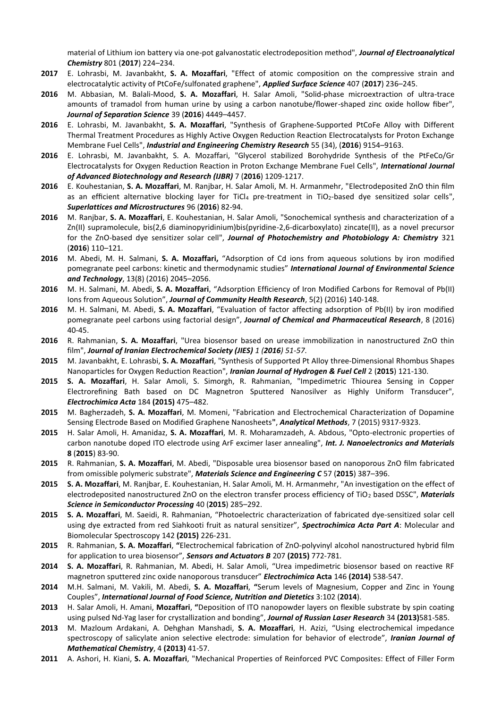material of Lithium ion battery via one-pot galvanostatic electrodeposition method", *Journal of Electroanalytical Chemistry* 801 (**2017**) 224–234.

- **2017** E. Lohrasbi, M. Javanbakht, **S. A. Mozaffari**, "Effect of atomic composition on the compressive strain and electrocatalytic activity of PtCoFe/sulfonated graphene", *Applied Surface Science* 407 (**2017**) 236–245.
- **2016** M. Abbasian, M. Balali-Mood, **S. A. Mozaffari**, H. Salar Amoli, "Solid-phase microextraction of ultra-trace amounts of tramadol from human urine by using a carbon nanotube/flower-shaped zinc oxide hollow fiber", *Journal of Separation Science* 39 (**2016**) 4449–4457.
- **2016** E. Lohrasbi, M. Javanbakht, **S. A. Mozaffari**, "Synthesis of Graphene-Supported PtCoFe Alloy with Different Thermal Treatment Procedures as Highly Active Oxygen Reduction Reaction Electrocatalysts for Proton Exchange Membrane Fuel Cells", *Industrial and Engineering Chemistry Research* 55 (34), (**2016**) 9154–9163.
- **2016** E. Lohrasbi, M. Javanbakht, S. A. Mozaffari, "Glycerol stabilized Borohydride Synthesis of the PtFeCo/Gr Electrocatalysts for Oxygen Reduction Reaction in Proton Exchange Membrane Fuel Cells", *International Journal of Advanced Biotechnology and Research (IJBR)* 7 (**2016**) 1209-1217.
- **2016** E. Kouhestanian, **S. A. Mozaffari**, M. Ranjbar, H. Salar Amoli, M. H. Armanmehr, "Electrodeposited ZnO thin film as an efficient alternative blocking layer for TiCl4 pre-treatment in TiO2-based dye sensitized solar cells", *Superlattices and Microstructures* 96 (**2016**) 82-94.
- **2016** M. Ranjbar, **S. A. Mozaffari**, E. Kouhestanian, H. Salar Amoli, "Sonochemical synthesis and characterization of a Zn(II) supramolecule, bis(2,6 diaminopyridinium)bis(pyridine-2,6-dicarboxylato) zincate(II), as a novel precursor for the ZnO-based dye sensitizer solar cell", *Journal of Photochemistry and Photobiology A: Chemistry* 321 (**2016**) 110–121.
- **2016** M. Abedi, M. H. Salmani, **S. A. Mozaffari,** "Adsorption of Cd ions from aqueous solutions by iron modified pomegranate peel carbons: kinetic and thermodynamic studies" *International Journal of Environmental Science and Technology*, 13(8) (2016) 2045–2056.
- **2016** M. H. Salmani, M. Abedi, **S. A. Mozaffari**, "Adsorption Efficiency of Iron Modified Carbons for Removal of Pb(II) Ions from Aqueous Solution", *Journal of Community Health Research*, 5(2) (2016) 140-148.
- **2016** M. H. Salmani, M. Abedi, **S. A. Mozaffari**, "Evaluation of factor affecting adsorption of Pb(II) by iron modified pomegranate peel carbons using factorial design", *Journal of Chemical and Pharmaceutical Research*, 8 (2016) 40-45.
- **2016** R. Rahmanian, **S. A. Mozaffari**, "Urea biosensor based on urease immobilization in nanostructured ZnO thin film", *Journal of Iranian Electrochemical Society (JIES) 1 (2016) 51-57*.
- **2015** M. Javanbakht, E. Lohrasbi, **S. A. Mozaffari**, "Synthesis of Supported Pt Alloy three-Dimensional Rhombus Shapes Nanoparticles for Oxygen Reduction Reaction", *Iranian Journal of Hydrogen & Fuel Cell* 2 (**2015**) 121-130.
- **2015 S. A. Mozaffari**, H. Salar Amoli, S. Simorgh, R. Rahmanian, "Impedimetric Thiourea Sensing in Copper Electrorefining Bath based on DC Magnetron Sputtered Nanosilver as Highly Uniform Transducer", *Electrochimica Acta* 184 **(2015)** 475–482.
- **2015** M. Bagherzadeh, **S. A. Mozaffari**, M. Momeni, "Fabrication and Electrochemical Characterization of Dopamine Sensing Electrode Based on Modified Graphene Nanosheets**"**, *Analytical Methods*, 7 (2015) 9317-9323.
- **2015** H. Salar Amoli, H. Amanidaz, **S. A. Mozaffari**, M. R. Moharamzadeh, A. Abdous, "Opto-electronic properties of carbon nanotube doped ITO electrode using ArF excimer laser annealing", *Int. J. Nanoelectronics and Materials* **8** (**2015**) 83-90.
- **2015** R. Rahmanian, **S. A. Mozaffari**, M. Abedi, "Disposable urea biosensor based on nanoporous ZnO film fabricated from omissible polymeric substrate", *Materials Science and Engineering C* 57 (**2015**) 387–396.
- **2015 S. A. Mozaffari**, M. Ranjbar, E. Kouhestanian, H. Salar Amoli, M. H. Armanmehr, "An investigation on the effect of electrodeposited nanostructured ZnO on the electron transfer process efficiency of TiO<sup>2</sup> based DSSC", *Materials Science in Semiconductor Processing* 40 (**2015**) 285–292.
- **2015 S. A. Mozaffari**, M. Saeidi, R. Rahmanian, "Photoelectric characterization of fabricated dye-sensitized solar cell using dye extracted from red Siahkooti fruit as natural sensitizer", *Spectrochimica Acta Part A*: Molecular and Biomolecular Spectroscopy 142 **(2015)** 226-231.
- **2015** R. Rahmanian, **S. A. Mozaffari**, **"**Electrochemical fabrication of ZnO-polyvinyl alcohol nanostructured hybrid film for application to urea biosensor", *Sensors and Actuators B* 207 **(2015)** 772-781.
- **2014 S. A. Mozaffari**, R. Rahmanian, M. Abedi, H. Salar Amoli, "Urea impedimetric biosensor based on reactive RF magnetron sputtered zinc oxide nanoporous transducer" *Electrochimica* **Acta** 146 **(2014)** 538-547.
- **2014** M.H. Salmani, M. Vakili, M. Abedi, **S. A. Mozaffari**, **"**Serum levels of Magnesium, Copper and Zinc in Young Couples", *International Journal of Food Science, Nutrition and Dietetics* 3:102 (**2014**).
- **2013** H. Salar Amoli, H. Amani, **Mozaffari**, **"**Deposition of ITO nanopowder layers on flexible substrate by spin coating using pulsed Nd-Yag laser for crystallization and bonding", *Journal of Russian Laser Research* 34 **(2013)**581-585.
- **2013** M. Mazloum Ardakani, A. Dehghan Manshadi, **S. A. Mozaffari**, H. Azizi, "Using electrochemical impedance spectroscopy of salicylate anion selective electrode: simulation for behavior of electrode", *Iranian Journal of Mathematical Chemistry*, 4 **(2013)** 41-57.
- **2011** A. Ashori, H. Kiani, **S. A. Mozaffari**, "Mechanical Properties of Reinforced PVC Composites: Effect of Filler Form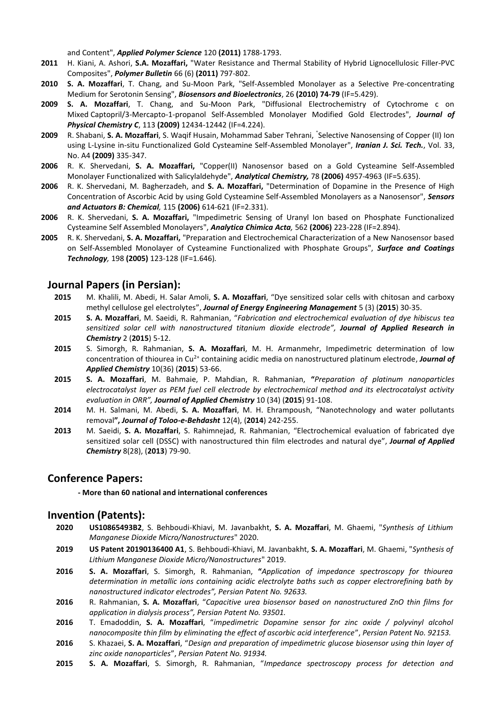and Content", *Applied Polymer Science* 120 **(2011)** 1788-1793.

- **2011** H. Kiani, A. Ashori, **S.A. Mozaffari,** "Water Resistance and Thermal Stability of Hybrid Lignocellulosic Filler-PVC Composites", *Polymer Bulletin* 66 (6) **(2011)** 797-802.
- **2010 S. A. Mozaffari**, T. Chang, and Su-Moon Park, "Self-Assembled Monolayer as a Selective Pre-concentrating Medium for Serotonin Sensing", *Biosensors and Bioelectronics*, 26 **(2010) 74-79** (IF=5.429).
- **2009 S. A. Mozaffari**, T. Chang, and Su-Moon Park, "Diffusional Electrochemistry of Cytochrome c on Mixed Captopril/3-Mercapto-1-propanol Self-Assembled Monolayer Modified Gold Electrodes", *Journal of Physical Chemistry C*, 113 **(2009)** 12434-12442 (IF=4.224).
- **2009** R. Shabani, **S. A. Mozaffari**, S. Waqif Husain, Mohammad Saber Tehrani, " Selective Nanosensing of Copper (II) Ion using L-Lysine in-situ Functionalized Gold Cysteamine Self-Assembled Monolayer", *Iranian J. Sci. Tech.*, Vol. 33, No. A4 **(2009)** 335-347.
- **2006** R. K. Shervedani, **S. A. Mozaffari,** "Copper(II) Nanosensor based on a Gold Cysteamine Self-Assembled Monolayer Functionalized with Salicylaldehyde", *Analytical Chemistry,* 78 **(2006)** 4957-4963 (IF=5.635).
- **2006** R. K. Shervedani, M. Bagherzadeh, and **S. A. Mozaffari,** "Determination of Dopamine in the Presence of High Concentration of Ascorbic Acid by using Gold Cysteamine Self-Assembled Monolayers as a Nanosensor", *Sensors and Actuators B: Chemical,* 115 **(2006)** 614-621 (IF=2.331).
- **2006** R. K. Shervedani, **S. A. Mozaffari,** "Impedimetric Sensing of Uranyl Ion based on Phosphate Functionalized Cysteamine Self Assembled Monolayers", *Analytica Chimica Acta,* 562 **(2006)** 223-228 (IF=2.894).
- **2005** R. K. Shervedani, **S. A. Mozaffari,** "Preparation and Electrochemical Characterization of a New Nanosensor based on Self-Assembled Monolayer of Cysteamine Functionalized with Phosphate Groups", *Surface and Coatings Technology,* 198 **(2005)** 123-128 (IF=1.646)*.*

## **Journal Papers (in Persian):**

- **2015** M. Khalili, M. Abedi, H. Salar Amoli, **S. A. Mozaffari**, "Dye sensitized solar cells with chitosan and carboxy methyl cellulose gel electrolytes", *Journal of Energy Engineering Management* 5 (3) (**2015**) 30-35.
- **2015 S. A. Mozaffari**, M. Saeidi, R. Rahmanian, "*Fabrication and electrochemical evaluation of dye hibiscus tea sensitized solar cell with nanostructured titanium dioxide electrode", Journal of Applied Research in Chemistry* 2 (**2015**) 5-12.
- **2015** S. Simorgh, R. Rahmanian, **S. A. Mozaffari**, M. H. Armanmehr, Impedimetric determination of low concentration of thiourea in Cu2+ containing acidic media on nanostructured platinum electrode, *Journal of Applied Chemistry* 10(36) (**2015**) 53-66.
- **2015 S. A. Mozaffari**, M. Bahmaie, P. Mahdian, R. Rahmanian, **"***Preparation of platinum nanoparticles electrocatalyst layer as PEM fuel cell electrode by electrochemical method and its electrocatalyst activity evaluation in ORR", Journal of Applied Chemistry* 10 (34) (**2015**) 91-108.
- **2014** M. H. Salmani, M. Abedi, **S. A. Mozaffari**, M. H. Ehrampoush, "Nanotechnology and water pollutants removal**",** *Journal of Toloo-e-Behdasht* 12(4), (**2014**) 242-255.
- **2013** M. Saeidi, **S. A. Mozaffari**, S. Rahimnejad, R. Rahmanian, "Electrochemical evaluation of fabricated dye sensitized solar cell (DSSC) with nanostructured thin film electrodes and natural dye", *Journal of Applied Chemistry* 8(28), (**2013**) 79-90.

## **Conference Papers:**

**- More than 60 national and international conferences**

### **Invention (Patents):**

- **2020 US10865493B2**, S. Behboudi-Khiavi, M. Javanbakht, **S. A. Mozaffari**, M. Ghaemi, "*Synthesis of Lithium Manganese Dioxide Micro/Nanostructures*" 2020.
- **2019 US Patent 20190136400 A1**, S. Behboudi-Khiavi, M. Javanbakht, **S. A. Mozaffari**, M. Ghaemi, "*Synthesis of Lithium Manganese Dioxide Micro/Nanostructures*" 2019.
- **2016 S. A. Mozaffari**, S. Simorgh, R. Rahmanian, **"***Application of impedance spectroscopy for thiourea determination in metallic ions containing acidic electrolyte baths such as copper electrorefining bath by nanostructured indicator electrodes", Persian Patent No. 92633.*
- **2016** R. Rahmanian, **S. A. Mozaffari**, "*Capacitive urea biosensor based on nanostructured ZnO thin films for application in dialysis process", Persian Patent No. 93501.*
- **2016** T. Emadoddin, **S. A. Mozaffari**, "*impedimetric Dopamine sensor for zinc oxide / polyvinyl alcohol nanocomposite thin film by eliminating the effect of ascorbic acid interference*", *Persian Patent No. 92153.*
- **2016** S. Khazaei, **S. A. Mozaffari**, "*Design and preparation of impedimetric glucose biosensor using thin layer of zinc oxide nanoparticles*", *Persian Patent No. 91934.*
- **2015 S. A. Mozaffari**, S. Simorgh, R. Rahmanian, "*Impedance spectroscopy process for detection and*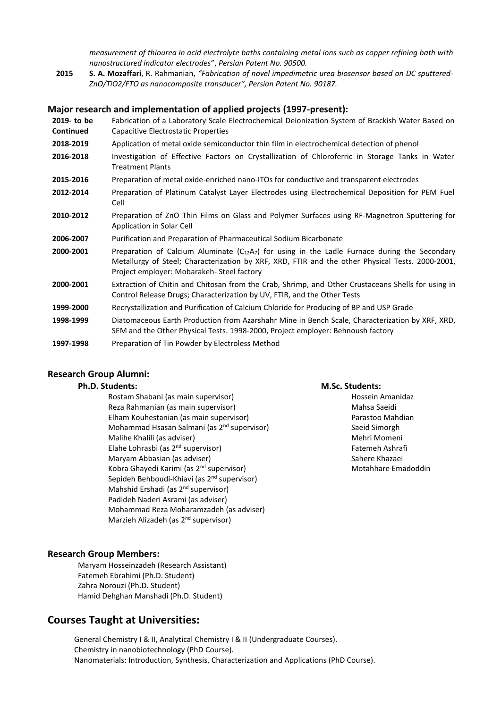*measurement of thiourea in acid electrolyte baths containing metal ions such as copper refining bath with nanostructured indicator electrodes*", *Persian Patent No. 90500.*

**2015 S. A. Mozaffari**, R. Rahmanian, *"Fabrication of novel impedimetric urea biosensor based on DC sputtered-ZnO/TiO2/FTO as nanocomposite transducer", Persian Patent No. 90187.*

#### **Major research and implementation of applied projects (1997-present):**

**2019- to be Continued** Fabrication of a Laboratory Scale Electrochemical Deionization System of Brackish Water Based on Capacitive Electrostatic Properties **2018-2019** Application of metal oxide semiconductor thin film in electrochemical detection of phenol **2016-2018** Investigation of Effective Factors on Crystallization of Chloroferric in Storage Tanks in Water Treatment Plants **2015-2016** Preparation of metal oxide-enriched nano-ITOs for conductive and transparent electrodes **2012-2014** Preparation of Platinum Catalyst Layer Electrodes using Electrochemical Deposition for PEM Fuel Cell **2010-2012** Preparation of ZnO Thin Films on Glass and Polymer Surfaces using RF-Magnetron Sputtering for Application in Solar Cell **2006-2007** Purification and Preparation of Pharmaceutical Sodium Bicarbonate **2000-2001** Preparation of Calcium Aluminate (C<sub>12</sub>A<sub>7</sub>) for using in the Ladle Furnace during the Secondary Metallurgy of Steel; Characterization by XRF, XRD, FTIR and the other Physical Tests. 2000-2001, Project employer: Mobarakeh- Steel factory **2000-2001** Extraction of Chitin and Chitosan from the Crab, Shrimp, and Other Crustaceans Shells for using in Control Release Drugs; Characterization by UV, FTIR, and the Other Tests **1999-2000** Recrystallization and Purification of Calcium Chloride for Producing of BP and USP Grade **1998-1999** Diatomaceous Earth Production from Azarshahr Mine in Bench Scale, Characterization by XRF, XRD, SEM and the Other Physical Tests. 1998-2000, Project employer: Behnoush factory **1997-1998** Preparation of Tin Powder by Electroless Method

## **Research Group Alumni:**

#### **Ph.D. Students:**

Rostam Shabani (as main supervisor) Reza Rahmanian (as main supervisor) Elham Kouhestanian (as main supervisor) Mohammad Hsasan Salmani (as 2nd supervisor) Malihe Khalili (as adviser) Elahe Lohrasbi (as 2nd supervisor) Maryam Abbasian (as adviser) Kobra Ghayedi Karimi (as 2nd supervisor) Sepideh Behboudi-Khiavi (as 2nd supervisor) Mahshid Ershadi (as 2<sup>nd</sup> supervisor) Padideh Naderi Asrami (as adviser) Mohammad Reza Moharamzadeh (as adviser) Marzieh Alizadeh (as 2nd supervisor)

#### **M.Sc. Students:**

Hossein Amanidaz Mahsa Saeidi Parastoo Mahdian Saeid Simorgh Mehri Momeni Fatemeh Ashrafi Sahere Khazaei Motahhare Emadoddin

#### **Research Group Members:**

Maryam Hosseinzadeh (Research Assistant) Fatemeh Ebrahimi (Ph.D. Student) Zahra Norouzi (Ph.D. Student) Hamid Dehghan Manshadi (Ph.D. Student)

### **Courses Taught at Universities:**

General Chemistry I & II, Analytical Chemistry I & II (Undergraduate Courses). Chemistry in nanobiotechnology (PhD Course). Nanomaterials: Introduction, Synthesis, Characterization and Applications (PhD Course).